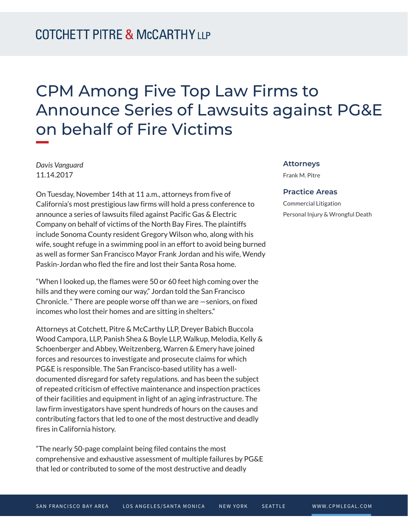## CPM Among Five Top Law Firms to Announce Series of Lawsuits against PG&E on behalf of Fire Victims

*Davis Vanguard* 11.14.2017

On Tuesday, November 14th at 11 a.m., attorneys from five of California's most prestigious law firms will hold a press conference to announce a series of lawsuits filed against Pacific Gas & Electric Company on behalf of victims of the North Bay Fires. The plaintiffs include Sonoma County resident Gregory Wilson who, along with his wife, sought refuge in a swimming pool in an effort to avoid being burned as well as former San Francisco Mayor Frank Jordan and his wife, Wendy Paskin-Jordan who fled the fire and lost their Santa Rosa home.

"When I looked up, the flames were 50 or 60 feet high coming over the hills and they were coming our way," Jordan told the San Francisco Chronicle. " There are people worse off than we are —seniors, on fixed incomes who lost their homes and are sitting in shelters."

Attorneys at Cotchett, Pitre & McCarthy LLP, Dreyer Babich Buccola Wood Campora, LLP, Panish Shea & Boyle LLP, Walkup, Melodia, Kelly & Schoenberger and Abbey, Weitzenberg, Warren & Emery have joined forces and resources to investigate and prosecute claims for which PG&E is responsible. The San Francisco-based utility has a welldocumented disregard for safety regulations. and has been the subject of repeated criticism of effective maintenance and inspection practices of their facilities and equipment in light of an aging infrastructure. The law firm investigators have spent hundreds of hours on the causes and contributing factors that led to one of the most destructive and deadly fires in California history.

"The nearly 50-page complaint being filed contains the most comprehensive and exhaustive assessment of multiple failures by PG&E that led or contributed to some of the most destructive and deadly

## **Attorneys**

Frank M. Pitre

## **Practice Areas**

Commercial Litigation Personal Injury & Wrongful Death